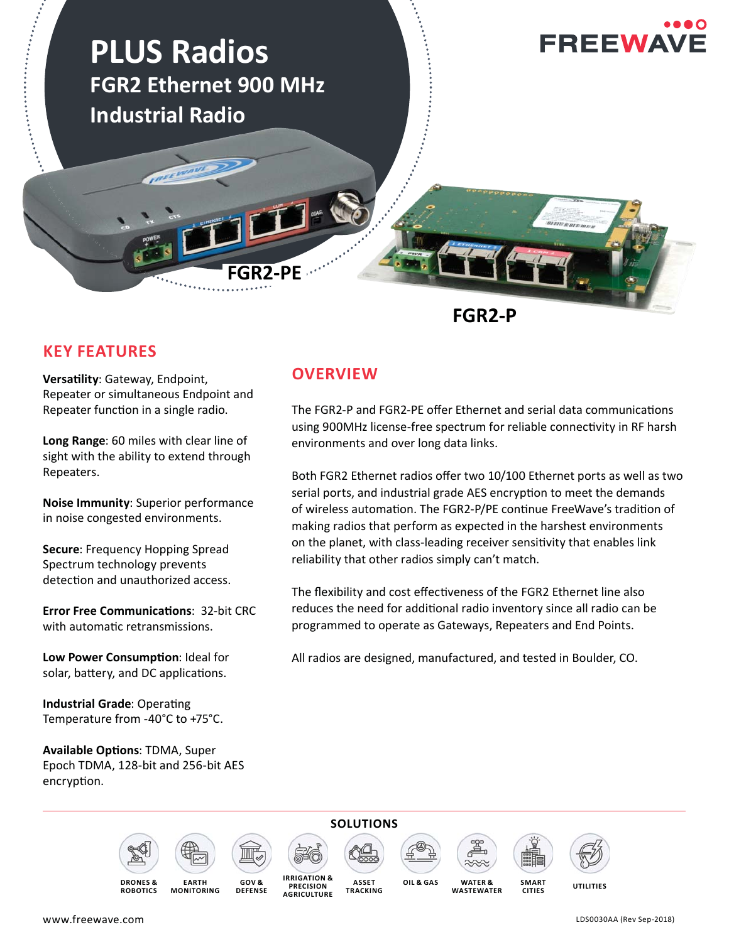

### **KEY FEATURES**

**Versatility: Gateway, Endpoint,** Repeater or simultaneous Endpoint and Repeater function in a single radio.

**Long Range**: 60 miles with clear line of sight with the ability to extend through Repeaters.

**Noise Immunity**: Superior performance in noise congested environments.

**Secure**: Frequency Hopping Spread Spectrum technology prevents detection and unauthorized access.

**Error Free Communications: 32-bit CRC** with automatic retransmissions.

**Low Power Consumption: Ideal for** solar, battery, and DC applications.

**Industrial Grade: Operating** Temperature from -40°C to +75°C.

**Available Options: TDMA, Super** Epoch TDMA, 128-bit and 256-bit AES encryption.

### **OVERVIEW**

The FGR2-P and FGR2-PE offer Ethernet and serial data communications using 900MHz license-free spectrum for reliable connectivity in RF harsh environments and over long data links.

Both FGR2 Ethernet radios offer two 10/100 Ethernet ports as well as two serial ports, and industrial grade AES encryption to meet the demands of wireless automation. The FGR2-P/PE continue FreeWave's tradition of making radios that perform as expected in the harshest environments on the planet, with class-leading receiver sensitivity that enables link reliability that other radios simply can't match.

The flexibility and cost effectiveness of the FGR2 Ethernet line also reduces the need for additional radio inventory since all radio can be programmed to operate as Gateways, Repeaters and End Points.

All radios are designed, manufactured, and tested in Boulder, CO.











**CITIES**



**DRONES & ROBOTICS**

**EARTH MONITORING**

**GOV & DEFENSE** **OIL & GASSET** OIL & GAS **PRECISION AGRICULTURE ASSET TRACKING**

**UTILITIES WATER & WASTEWATER**

**SMART** 

www.freewave.com

LDS0030AA (Rev Sep-2018)